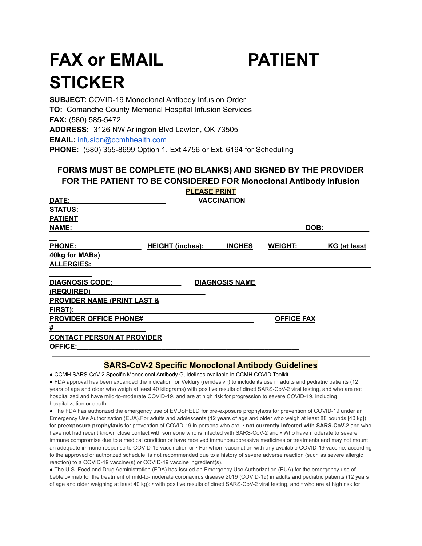# **FAX or EMAIL PATIENT STICKER**



**SUBJECT:** COVID-19 Monoclonal Antibody Infusion Order **TO:** Comanche County Memorial Hospital Infusion Services **FAX:** (580) 585-5472 **ADDRESS:** 3126 NW Arlington Blvd Lawton, OK 73505 **EMAIL:** [infusion@ccmhhealth.com](mailto:infusion@ccmhhealth.com) **PHONE:** (580) 355-8699 Option 1, Ext 4756 or Ext. 6194 for Scheduling

# **FORMS MUST BE COMPLETE (NO BLANKS) AND SIGNED BY THE PROVIDER FOR THE PATIENT TO BE CONSIDERED FOR Monoclonal Antibody Infusion**

|                                        |                         | <b>PLEASE PRINT</b>   |                   |              |
|----------------------------------------|-------------------------|-----------------------|-------------------|--------------|
| DATE:                                  |                         | <b>VACCINATION</b>    |                   |              |
| <b>STATUS:</b>                         |                         |                       |                   |              |
| <b>PATIENT</b>                         |                         |                       |                   |              |
| <b>NAME:</b>                           |                         |                       | DOB:              |              |
| <b>PHONE:</b>                          | <b>HEIGHT (inches):</b> | <b>INCHES</b>         | <b>WEIGHT:</b>    | KG (at least |
| 40kg for MABs)                         |                         |                       |                   |              |
| <b>ALLERGIES:</b>                      |                         |                       |                   |              |
| <b>DIAGNOSIS CODE:</b>                 |                         | <b>DIAGNOSIS NAME</b> |                   |              |
| (REQUIRED)                             |                         |                       |                   |              |
| <b>PROVIDER NAME (PRINT LAST &amp;</b> |                         |                       |                   |              |
| FIRST):                                |                         |                       |                   |              |
| <b>PROVIDER OFFICE PHONE#</b>          |                         |                       | <b>OFFICE FAX</b> |              |
| #                                      |                         |                       |                   |              |
| <b>CONTACT PERSON AT PROVIDER</b>      |                         |                       |                   |              |
| <b>OFFICE:</b>                         |                         |                       |                   |              |

# **SARS-CoV-2 Specific Monoclonal Antibody Guidelines**

● CCMH SARS-CoV-2 Specific Monoclonal Antibody Guidelines available in CCMH COVID Toolkit.

● FDA approval has been expanded the indication for Veklury (remdesivir) to include its use in adults and pediatric patients (12 years of age and older who weigh at least 40 kilograms) with positive results of direct SARS-CoV-2 viral testing, and who are not hospitalized and have mild-to-moderate COVID-19, and are at high risk for progression to severe COVID-19, including hospitalization or death.

● The FDA has authorized the emergency use of EVUSHELD for pre-exposure prophylaxis for prevention of COVID-19 under an Emergency Use Authorization (EUA).For adults and adolescents (12 years of age and older who weigh at least 88 pounds [40 kg]) for **preexposure prophylaxis** for prevention of COVID-19 in persons who are: • **not currently infected with SARS-CoV-2** and who have not had recent known close contact with someone who is infected with SARS-CoV-2 and • Who have moderate to severe immune compromise due to a medical condition or have received immunosuppressive medicines or treatments and may not mount an adequate immune response to COVID-19 vaccination or • For whom vaccination with any available COVID-19 vaccine, according to the approved or authorized schedule, is not recommended due to a history of severe adverse reaction (such as severe allergic reaction) to a COVID-19 vaccine(s) or COVID-19 vaccine ingredient(s).

● The U.S. Food and Drug Administration (FDA) has issued an Emergency Use Authorization (EUA) for the emergency use of bebtelovimab for the treatment of mild-to-moderate coronavirus disease 2019 (COVID-19) in adults and pediatric patients (12 years of age and older weighing at least 40 kg): • with positive results of direct SARS-CoV-2 viral testing, and • who are at high risk for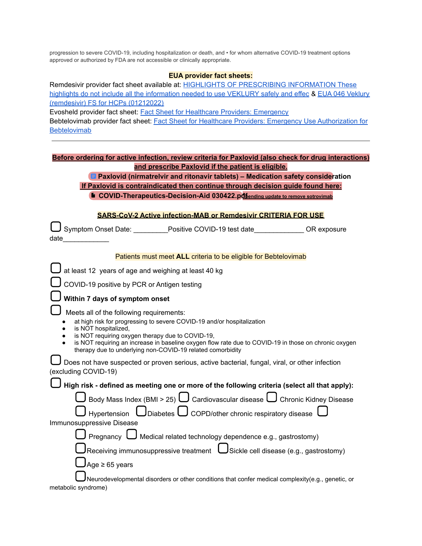progression to severe COVID-19, including hospitalization or death, and • for whom alternative COVID-19 treatment options approved or authorized by FDA are not accessible or clinically appropriate.

#### **EUA provider fact sheets:**

Remdesivir provider fact sheet available at: HIGHLIGHTS OF PRESCRIBING [INFORMATION](https://www.gilead.com/-/media/files/pdfs/medicines/COVID-19/veklury/veklury_pi.pdf) These highlights do not include all the [information](https://www.gilead.com/-/media/files/pdfs/medicines/COVID-19/veklury/veklury_pi.pdf) needed to use VEKLURY safely and effec & EUA 046 [Veklury](https://www.fda.gov/media/137566/download) [\(remdesivir\)](https://www.fda.gov/media/137566/download) FS for HCPs (01212022) Evosheld provider fact sheet: Fact Sheet for Healthcare Providers: [Emergency](https://www.fda.gov/media/154701/download) Bebtelovimab provider fact sheet: **Fact Sheet for Healthcare Providers: Emergency Use [Authorization](https://www.fda.gov/media/156152/download) for** 

**[Bebtelovimab](https://www.fda.gov/media/156152/download)** 

|                                                    | Before ordering for active infection, review criteria for Paxlovid (also check for drug interactions) |  |
|----------------------------------------------------|-------------------------------------------------------------------------------------------------------|--|
| and prescribe Paxlovid if the patient is eligible. |                                                                                                       |  |

#### **Paxlovid [\(nirmatrelvir](https://docs.google.com/document/d/1Dx48hhYlobNxCFyBJR3-D9cjgXtPhGtOzwT5e2qsH-4/edit?usp=sharing) and ritonavir tablets) – Medication safety consideration If Paxlovid is contraindicated then continue through decision guide found here:**

**E** [COVID-Therapeutics-Decision-Aid](https://drive.google.com/file/d/1TF8xI-LQhVpDRrLrU3UBhtEhvWJp6lIw/view?usp=sharing) 030422.pd **f**ending update to remove sotrovimab

#### **SARS-CoV-2 Active infection-MAB or Remdesivir CRITERIA FOR USE**

Symptom Onset Date: \_\_\_\_\_\_\_\_\_Positive COVID-19 test date\_\_\_\_\_\_\_\_\_\_\_\_\_ OR exposure date\_\_\_\_\_\_\_\_\_\_\_\_

| at least 12 years of age and weighing at least 40 kg                                                                                                                                                                                                                                                                                                                 |
|----------------------------------------------------------------------------------------------------------------------------------------------------------------------------------------------------------------------------------------------------------------------------------------------------------------------------------------------------------------------|
| COVID-19 positive by PCR or Antigen testing                                                                                                                                                                                                                                                                                                                          |
| Within 7 days of symptom onset                                                                                                                                                                                                                                                                                                                                       |
| Meets all of the following requirements:<br>at high risk for progressing to severe COVID-19 and/or hospitalization<br>is NOT hospitalized,<br>is NOT requiring oxygen therapy due to COVID-19,<br>is NOT requiring an increase in baseline oxygen flow rate due to COVID-19 in those on chronic oxygen<br>therapy due to underlying non-COVID-19 related comorbidity |
| Does not have suspected or proven serious, active bacterial, fungal, viral, or other infection<br>(excluding COVID-19)                                                                                                                                                                                                                                               |
| High risk - defined as meeting one or more of the following criteria (select all that apply):                                                                                                                                                                                                                                                                        |
| Body Mass Index (BMI > 25) $\bigcup$ Cardiovascular disease $\bigcup$ Chronic Kidney Disease                                                                                                                                                                                                                                                                         |
| Hypertension $\bigcup$ Diabetes $\bigcup$ COPD/other chronic respiratory disease                                                                                                                                                                                                                                                                                     |
| Immunosuppressive Disease                                                                                                                                                                                                                                                                                                                                            |
| Pregnancy $\bigcup$ Medical related technology dependence e.g., gastrostomy)                                                                                                                                                                                                                                                                                         |
| Receiving immunosuppressive treatment $\bigcup$ Sickle cell disease (e.g., gastrostomy)                                                                                                                                                                                                                                                                              |
| Age $\geq 65$ years                                                                                                                                                                                                                                                                                                                                                  |
| Neurodevelopmental disorders or other conditions that confer medical complexity(e.g., genetic, or                                                                                                                                                                                                                                                                    |

metabolic syndrome)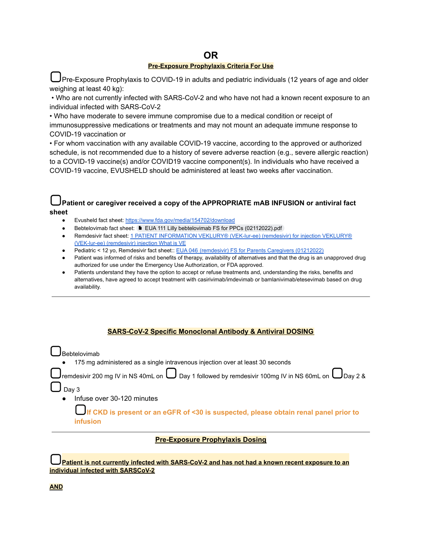#### **OR Pre-Exposure Prophylaxis Criteria For Use**

Pre-Exposure Prophylaxis to COVID-19 in adults and pediatric individuals (12 years of age and older weighing at least 40 kg):

• Who are not currently infected with SARS-CoV-2 and who have not had a known recent exposure to an individual infected with SARS-CoV-2

• Who have moderate to severe immune compromise due to a medical condition or receipt of immunosuppressive medications or treatments and may not mount an adequate immune response to COVID-19 vaccination or

• For whom vaccination with any available COVID-19 vaccine, according to the approved or authorized schedule, is not recommended due to a history of severe adverse reaction (e.g., severe allergic reaction) to a COVID-19 vaccine(s) and/or COVID19 vaccine component(s). In individuals who have received a COVID-19 vaccine, EVUSHELD should be administered at least two weeks after vaccination.

#### **Patient or caregiver received a copy of the APPROPRIATE mAB INFUSION or antiviral fact sheet**

- Evusheld fact sheet: <https://www.fda.gov/media/154702/download>
- Bebtelovimab fact sheet: EUA 111 Lilly bebtelovimab FS for PPCs [\(02112022\).pdf](https://drive.google.com/file/d/19_PJVM8LriCs0gkZGmEgnu-vRcAfLaCT/view?usp=sharing)
- Remdesivir fact sheet: 1 PATIENT [INFORMATION](https://www.gilead.com/-/media/files/pdfs/medicines/covid-19/veklury/veklury_patient_pi.pdf) VEKLURY® (VEK-lur-ee) (remdesivir) for injection VEKLURY® [\(VEK-lur-ee\)](https://www.gilead.com/-/media/files/pdfs/medicines/covid-19/veklury/veklury_patient_pi.pdf) (remdesivir) injection What is VE
- Pediatric < 12 yo, Remdesivir fact sheet:: EUA 046 [\(remdesivir\)](https://www.fda.gov/media/137565/download) FS for Parents Caregivers (01212022)
- Patient was informed of risks and benefits of therapy, availability of alternatives and that the drug is an unapproved drug authorized for use under the Emergency Use Authorization, or FDA approved.
- Patients understand they have the option to accept or refuse treatments and, understanding the risks, benefits and alternatives, have agreed to accept treatment with casirivimab/imdevimab or bamlanivimab/etesevimab based on drug availability.

## **SARS-CoV-2 Specific Monoclonal Antibody & Antiviral DOSING**

Bebtelovimab ● 175 mg administered as a single intravenous injection over at least 30 seconds  $\vert$ remdesivir 200 mg IV in NS 40mL on  $\bigcup$  Day 1 followed by remdesivir 100mg IV in NS 60mL on  $\bigcup$ Day 2 & Day 3 Infuse over 30-120 minutes **If CKD is present or an eGFR of <30 is suspected, please obtain renal panel prior to infusion**

## **Pre-Exposure Prophylaxis Dosing**

**Patient is not currently infected with SARS-CoV-2 and has not had a known recent exposure to an individual infected with SARSCoV-2**

#### **AND**